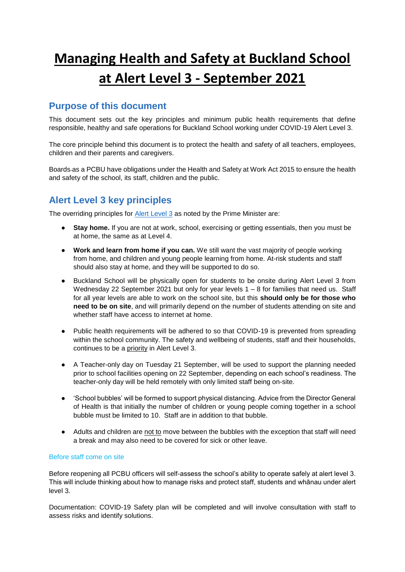# **Managing Health and Safety at Buckland School at Alert Level 3 - September 2021**

## **Purpose of this document**

This document sets out the key principles and minimum public health requirements that define responsible, healthy and safe operations for Buckland School working under COVID-19 Alert Level 3.

The core principle behind this document is to protect the health and safety of all teachers, employees, children and their parents and caregivers.

Boards as a PCBU have obligations under the Health and Safety at Work Act 2015 to ensure the health and safety of the school, its staff, children and the public.

# **Alert Level 3 key principles**

The overriding principles for [Alert Level 3](https://covid19.govt.nz/alert-system/alert-level-3/) as noted by the Prime Minister are:

- **Stay home.** If you are not at work, school, exercising or getting essentials, then you must be at home, the same as at Level 4.
- **Work and learn from home if you can.** We still want the vast majority of people working from home, and children and young people learning from home. At-risk students and staff should also stay at home, and they will be supported to do so.
- Buckland School will be physically open for students to be onsite during Alert Level 3 from Wednesday 22 September 2021 but only for year levels 1 – 8 for families that need us. Staff for all year levels are able to work on the school site, but this **should only be for those who need to be on site**, and will primarily depend on the number of students attending on site and whether staff have access to internet at home.
- Public health requirements will be adhered to so that COVID-19 is prevented from spreading within the school community. The safety and wellbeing of students, staff and their households, continues to be a priority in Alert Level 3.
- A Teacher-only day on Tuesday 21 September, will be used to support the planning needed prior to school facilities opening on 22 September, depending on each school's readiness. The teacher-only day will be held remotely with only limited staff being on-site.
- 'School bubbles' will be formed to support physical distancing. Advice from the Director General of Health is that initially the number of children or young people coming together in a school bubble must be limited to 10. Staff are in addition to that bubble.
- Adults and children are not to move between the bubbles with the exception that staff will need a break and may also need to be covered for sick or other leave.

#### Before staff come on site

Before reopening all PCBU officers will self-assess the school's ability to operate safely at alert level 3. This will include thinking about how to manage risks and protect staff, students and whānau under alert level 3.

Documentation: COVID-19 Safety plan will be completed and will involve consultation with staff to assess risks and identify solutions.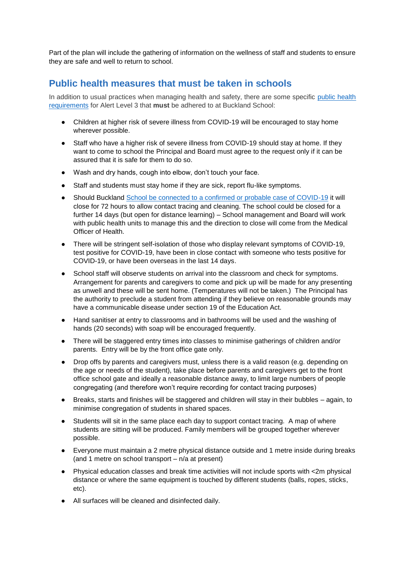Part of the plan will include the gathering of information on the wellness of staff and students to ensure they are safe and well to return to school.

## **Public health measures that must be taken in schools**

In addition to usual practices when managing health and safety, there are some specific public health [requirements](https://minedu.cwp.govt.nz/assets/Documents/School/SchoolsBulletin/2020-Bulletins/FINALAPR17Education-detail-for-alert-levels.pdf) for Alert Level 3 that **must** be adhered to at Buckland School:

- Children at higher risk of severe illness from COVID-19 will be encouraged to stay home wherever possible.
- Staff who have a higher risk of severe illness from COVID-19 should stay at home. If they want to come to school the Principal and Board must agree to the request only if it can be assured that it is safe for them to do so.
- Wash and dry hands, cough into elbow, don't touch your face.
- Staff and students must stay home if they are sick, report flu-like symptoms.
- Should Buckland [School be connected to a confirmed or probable case of COVID-19](http://education.govt.nz/assets/Documents/COVID19-files/If-you-have-a-probable-or-confirmed-case.docx) it will close for 72 hours to allow contact tracing and cleaning. The school could be closed for a further 14 days (but open for distance learning) – School management and Board will work with public health units to manage this and the direction to close will come from the Medical Officer of Health.
- There will be stringent self-isolation of those who display relevant symptoms of COVID-19, test positive for COVID-19, have been in close contact with someone who tests positive for COVID-19, or have been overseas in the last 14 days.
- School staff will observe students on arrival into the classroom and check for symptoms. Arrangement for parents and caregivers to come and pick up will be made for any presenting as unwell and these will be sent home. (Temperatures will not be taken.) The Principal has the authority to preclude a student from attending if they believe on reasonable grounds may have a communicable disease under section 19 of the Education Act.
- Hand sanitiser at entry to classrooms and in bathrooms will be used and the washing of hands (20 seconds) with soap will be encouraged frequently.
- There will be staggered entry times into classes to minimise gatherings of children and/or parents. Entry will be by the front office gate only.
- Drop offs by parents and caregivers must, unless there is a valid reason (e.g. depending on the age or needs of the student), take place before parents and caregivers get to the front office school gate and ideally a reasonable distance away, to limit large numbers of people congregating (and therefore won't require recording for contact tracing purposes)
- Breaks, starts and finishes will be staggered and children will stay in their bubbles again, to minimise congregation of students in shared spaces.
- Students will sit in the same place each day to support contact tracing. A map of where students are sitting will be produced. Family members will be grouped together wherever possible.
- Everyone must maintain a 2 metre physical distance outside and 1 metre inside during breaks (and 1 metre on school transport – n/a at present)
- Physical education classes and break time activities will not include sports with <2m physical distance or where the same equipment is touched by different students (balls, ropes, sticks, etc).
- All surfaces will be cleaned and disinfected daily.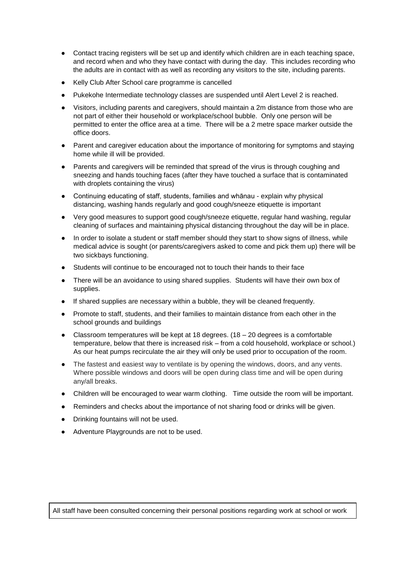- Contact tracing registers will be set up and identify which children are in each teaching space, and record when and who they have contact with during the day. This includes recording who the adults are in contact with as well as recording any visitors to the site, including parents.
- Kelly Club After School care programme is cancelled
- Pukekohe Intermediate technology classes are suspended until Alert Level 2 is reached.
- Visitors, including parents and caregivers, should maintain a 2m distance from those who are not part of either their household or workplace/school bubble. Only one person will be permitted to enter the office area at a time. There will be a 2 metre space marker outside the office doors.
- Parent and caregiver education about the importance of monitoring for symptoms and staying home while ill will be provided.
- Parents and caregivers will be reminded that spread of the virus is through coughing and sneezing and hands touching faces (after they have touched a surface that is contaminated with droplets containing the virus)
- Continuing educating of staff, students, families and whānau explain why physical distancing, washing hands regularly and good cough/sneeze etiquette is important
- Very good measures to support good cough/sneeze etiquette, regular hand washing, regular cleaning of surfaces and maintaining physical distancing throughout the day will be in place.
- In order to isolate a student or staff member should they start to show signs of illness, while medical advice is sought (or parents/caregivers asked to come and pick them up) there will be two sickbays functioning.
- Students will continue to be encouraged not to touch their hands to their face
- There will be an avoidance to using shared supplies. Students will have their own box of supplies.
- If shared supplies are necessary within a bubble, they will be cleaned frequently.
- Promote to staff, students, and their families to maintain distance from each other in the school grounds and buildings
- Classroom temperatures will be kept at 18 degrees.  $(18 20$  degrees is a comfortable temperature, below that there is increased risk – from a cold household, workplace or school.) As our heat pumps recirculate the air they will only be used prior to occupation of the room.
- The fastest and easiest way to ventilate is by opening the windows, doors, and any vents. Where possible windows and doors will be open during class time and will be open during any/all breaks.
- Children will be encouraged to wear warm clothing. Time outside the room will be important.
- Reminders and checks about the importance of not sharing food or drinks will be given.
- Drinking fountains will not be used.
- Adventure Playgrounds are not to be used.

All staff have been consulted concerning their personal positions regarding work at school or work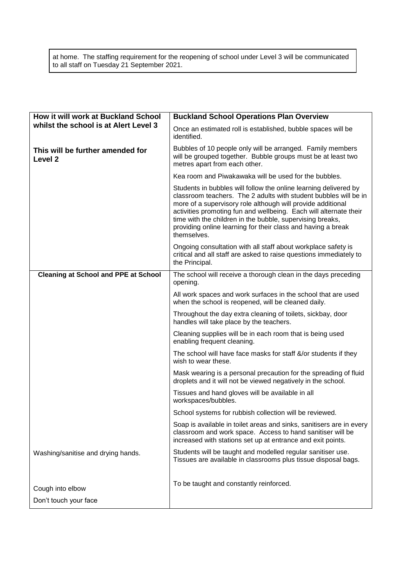at home. The staffing requirement for the reopening of school under Level 3 will be communicated to all staff on Tuesday 21 September 2021.

| How it will work at Buckland School                    | <b>Buckland School Operations Plan Overview</b>                                                                                                                                                                                                                                                                                                                                                                      |
|--------------------------------------------------------|----------------------------------------------------------------------------------------------------------------------------------------------------------------------------------------------------------------------------------------------------------------------------------------------------------------------------------------------------------------------------------------------------------------------|
| whilst the school is at Alert Level 3                  | Once an estimated roll is established, bubble spaces will be<br>identified.                                                                                                                                                                                                                                                                                                                                          |
| This will be further amended for<br>Level <sub>2</sub> | Bubbles of 10 people only will be arranged. Family members<br>will be grouped together. Bubble groups must be at least two<br>metres apart from each other.                                                                                                                                                                                                                                                          |
|                                                        | Kea room and Piwakawaka will be used for the bubbles.                                                                                                                                                                                                                                                                                                                                                                |
|                                                        | Students in bubbles will follow the online learning delivered by<br>classroom teachers. The 2 adults with student bubbles will be in<br>more of a supervisory role although will provide additional<br>activities promoting fun and wellbeing. Each will alternate their<br>time with the children in the bubble, supervising breaks,<br>providing online learning for their class and having a break<br>themselves. |
|                                                        | Ongoing consultation with all staff about workplace safety is<br>critical and all staff are asked to raise questions immediately to<br>the Principal.                                                                                                                                                                                                                                                                |
| <b>Cleaning at School and PPE at School</b>            | The school will receive a thorough clean in the days preceding<br>opening.                                                                                                                                                                                                                                                                                                                                           |
|                                                        | All work spaces and work surfaces in the school that are used<br>when the school is reopened, will be cleaned daily.                                                                                                                                                                                                                                                                                                 |
|                                                        | Throughout the day extra cleaning of toilets, sickbay, door<br>handles will take place by the teachers.                                                                                                                                                                                                                                                                                                              |
|                                                        | Cleaning supplies will be in each room that is being used<br>enabling frequent cleaning.                                                                                                                                                                                                                                                                                                                             |
|                                                        | The school will have face masks for staff &/or students if they<br>wish to wear these.                                                                                                                                                                                                                                                                                                                               |
|                                                        | Mask wearing is a personal precaution for the spreading of fluid<br>droplets and it will not be viewed negatively in the school.                                                                                                                                                                                                                                                                                     |
|                                                        | Tissues and hand gloves will be available in all<br>workspaces/bubbles.                                                                                                                                                                                                                                                                                                                                              |
|                                                        | School systems for rubbish collection will be reviewed.                                                                                                                                                                                                                                                                                                                                                              |
|                                                        | Soap is available in toilet areas and sinks, sanitisers are in every<br>classroom and work space. Access to hand sanitiser will be<br>increased with stations set up at entrance and exit points.                                                                                                                                                                                                                    |
| Washing/sanitise and drying hands.                     | Students will be taught and modelled regular sanitiser use.<br>Tissues are available in classrooms plus tissue disposal bags.                                                                                                                                                                                                                                                                                        |
|                                                        |                                                                                                                                                                                                                                                                                                                                                                                                                      |
| Cough into elbow                                       | To be taught and constantly reinforced.                                                                                                                                                                                                                                                                                                                                                                              |
| Don't touch your face                                  |                                                                                                                                                                                                                                                                                                                                                                                                                      |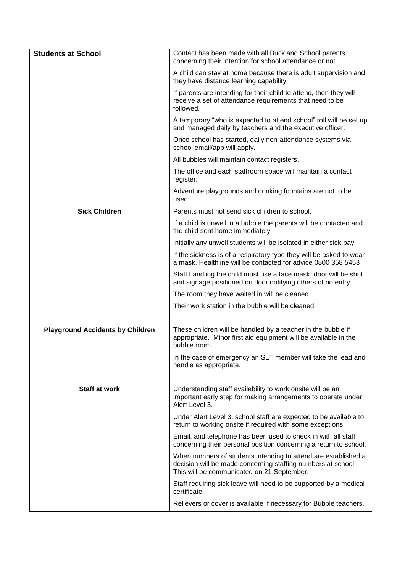| <b>Students at School</b>               | Contact has been made with all Buckland School parents<br>concerning their intention for school attendance or not                                                            |
|-----------------------------------------|------------------------------------------------------------------------------------------------------------------------------------------------------------------------------|
|                                         | A child can stay at home because there is adult supervision and<br>they have distance learning capability.                                                                   |
|                                         | If parents are intending for their child to attend, then they will<br>receive a set of attendance requirements that need to be<br>followed.                                  |
|                                         | A temporary "who is expected to attend school" roll will be set up<br>and managed daily by teachers and the executive officer.                                               |
|                                         | Once school has started, daily non-attendance systems via<br>school email/app will apply.                                                                                    |
|                                         | All bubbles will maintain contact registers.                                                                                                                                 |
|                                         | The office and each staffroom space will maintain a contact<br>register.                                                                                                     |
|                                         | Adventure playgrounds and drinking fountains are not to be<br>used.                                                                                                          |
| <b>Sick Children</b>                    | Parents must not send sick children to school.                                                                                                                               |
|                                         | If a child is unwell in a bubble the parents will be contacted and<br>the child sent home immediately.                                                                       |
|                                         | Initially any unwell students will be isolated in either sick bay.                                                                                                           |
|                                         | If the sickness is of a respiratory type they will be asked to wear<br>a mask. Healthline will be contacted for advice 0800 358 5453                                         |
|                                         | Staff handling the child must use a face mask, door will be shut<br>and signage positioned on door notifying others of no entry.                                             |
|                                         | The room they have waited in will be cleaned                                                                                                                                 |
|                                         | Their work station in the bubble will be cleaned.                                                                                                                            |
| <b>Playground Accidents by Children</b> | These children will be handled by a teacher in the bubble if<br>appropriate. Minor first aid equipment will be available in the<br>bubble room.                              |
|                                         | In the case of emergency an SLT member will take the lead and<br>handle as appropriate.                                                                                      |
|                                         |                                                                                                                                                                              |
| <b>Staff at work</b>                    | Understanding staff availability to work onsite will be an<br>important early step for making arrangements to operate under<br>Alert Level 3.                                |
|                                         | Under Alert Level 3, school staff are expected to be available to<br>return to working onsite if required with some exceptions.                                              |
|                                         | Email, and telephone has been used to check in with all staff<br>concerning their personal position concerning a return to school.                                           |
|                                         | When numbers of students intending to attend are established a<br>decision will be made concerning staffing numbers at school.<br>This will be communicated on 21 September. |
|                                         | Staff requiring sick leave will need to be supported by a medical<br>certificate.                                                                                            |
|                                         | Relievers or cover is available if necessary for Bubble teachers.                                                                                                            |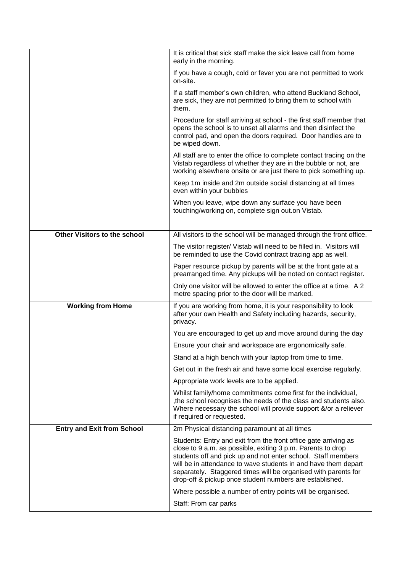|                                   | It is critical that sick staff make the sick leave call from home<br>early in the morning.                                                                                                                                                                                                                                                                                                    |
|-----------------------------------|-----------------------------------------------------------------------------------------------------------------------------------------------------------------------------------------------------------------------------------------------------------------------------------------------------------------------------------------------------------------------------------------------|
|                                   | If you have a cough, cold or fever you are not permitted to work<br>on-site.                                                                                                                                                                                                                                                                                                                  |
|                                   | If a staff member's own children, who attend Buckland School,<br>are sick, they are not permitted to bring them to school with<br>them.                                                                                                                                                                                                                                                       |
|                                   | Procedure for staff arriving at school - the first staff member that<br>opens the school is to unset all alarms and then disinfect the<br>control pad, and open the doors required. Door handles are to<br>be wiped down.                                                                                                                                                                     |
|                                   | All staff are to enter the office to complete contact tracing on the<br>Vistab regardless of whether they are in the bubble or not, are<br>working elsewhere onsite or are just there to pick something up.                                                                                                                                                                                   |
|                                   | Keep 1m inside and 2m outside social distancing at all times<br>even within your bubbles                                                                                                                                                                                                                                                                                                      |
|                                   | When you leave, wipe down any surface you have been<br>touching/working on, complete sign out.on Vistab.                                                                                                                                                                                                                                                                                      |
| Other Visitors to the school      | All visitors to the school will be managed through the front office.                                                                                                                                                                                                                                                                                                                          |
|                                   | The visitor register/ Vistab will need to be filled in. Visitors will<br>be reminded to use the Covid contract tracing app as well.                                                                                                                                                                                                                                                           |
|                                   | Paper resource pickup by parents will be at the front gate at a<br>prearranged time. Any pickups will be noted on contact register.                                                                                                                                                                                                                                                           |
|                                   | Only one visitor will be allowed to enter the office at a time. A 2<br>metre spacing prior to the door will be marked.                                                                                                                                                                                                                                                                        |
| <b>Working from Home</b>          | If you are working from home, it is your responsibility to look<br>after your own Health and Safety including hazards, security,<br>privacy.                                                                                                                                                                                                                                                  |
|                                   | You are encouraged to get up and move around during the day                                                                                                                                                                                                                                                                                                                                   |
|                                   | Ensure your chair and workspace are ergonomically safe.                                                                                                                                                                                                                                                                                                                                       |
|                                   | Stand at a high bench with your laptop from time to time.                                                                                                                                                                                                                                                                                                                                     |
|                                   | Get out in the fresh air and have some local exercise regularly.                                                                                                                                                                                                                                                                                                                              |
|                                   | Appropriate work levels are to be applied.                                                                                                                                                                                                                                                                                                                                                    |
|                                   | Whilst family/home commitments come first for the individual,<br>, the school recognises the needs of the class and students also.<br>Where necessary the school will provide support &/or a reliever<br>if required or requested.                                                                                                                                                            |
| <b>Entry and Exit from School</b> | 2m Physical distancing paramount at all times                                                                                                                                                                                                                                                                                                                                                 |
|                                   | Students: Entry and exit from the front office gate arriving as<br>close to 9 a.m. as possible, exiting 3 p.m. Parents to drop<br>students off and pick up and not enter school. Staff members<br>will be in attendance to wave students in and have them depart<br>separately. Staggered times will be organised with parents for<br>drop-off & pickup once student numbers are established. |
|                                   | Where possible a number of entry points will be organised.                                                                                                                                                                                                                                                                                                                                    |
|                                   | Staff: From car parks                                                                                                                                                                                                                                                                                                                                                                         |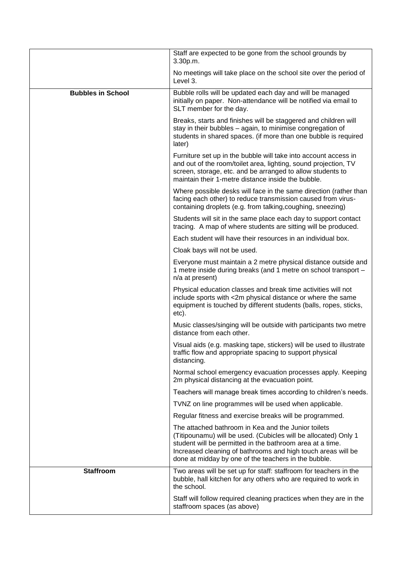|                          | Staff are expected to be gone from the school grounds by<br>3.30p.m.                                                                                                                                                                                                                                        |
|--------------------------|-------------------------------------------------------------------------------------------------------------------------------------------------------------------------------------------------------------------------------------------------------------------------------------------------------------|
|                          | No meetings will take place on the school site over the period of<br>Level 3.                                                                                                                                                                                                                               |
| <b>Bubbles in School</b> | Bubble rolls will be updated each day and will be managed<br>initially on paper. Non-attendance will be notified via email to<br>SLT member for the day.                                                                                                                                                    |
|                          | Breaks, starts and finishes will be staggered and children will<br>stay in their bubbles - again, to minimise congregation of<br>students in shared spaces. (if more than one bubble is required<br>later)                                                                                                  |
|                          | Furniture set up in the bubble will take into account access in<br>and out of the room/toilet area, lighting, sound projection, TV<br>screen, storage, etc. and be arranged to allow students to<br>maintain their 1-metre distance inside the bubble.                                                      |
|                          | Where possible desks will face in the same direction (rather than<br>facing each other) to reduce transmission caused from virus-<br>containing droplets (e.g. from talking, coughing, sneezing)                                                                                                            |
|                          | Students will sit in the same place each day to support contact<br>tracing. A map of where students are sitting will be produced.                                                                                                                                                                           |
|                          | Each student will have their resources in an individual box.                                                                                                                                                                                                                                                |
|                          | Cloak bays will not be used.                                                                                                                                                                                                                                                                                |
|                          | Everyone must maintain a 2 metre physical distance outside and<br>1 metre inside during breaks (and 1 metre on school transport -<br>n/a at present)                                                                                                                                                        |
|                          | Physical education classes and break time activities will not<br>include sports with <2m physical distance or where the same<br>equipment is touched by different students (balls, ropes, sticks,<br>etc).                                                                                                  |
|                          | Music classes/singing will be outside with participants two metre<br>distance from each other.                                                                                                                                                                                                              |
|                          | Visual aids (e.g. masking tape, stickers) will be used to illustrate<br>traffic flow and appropriate spacing to support physical<br>distancing.                                                                                                                                                             |
|                          | Normal school emergency evacuation processes apply. Keeping<br>2m physical distancing at the evacuation point.                                                                                                                                                                                              |
|                          | Teachers will manage break times according to children's needs.                                                                                                                                                                                                                                             |
|                          | TVNZ on line programmes will be used when applicable.                                                                                                                                                                                                                                                       |
|                          | Regular fitness and exercise breaks will be programmed.                                                                                                                                                                                                                                                     |
|                          | The attached bathroom in Kea and the Junior toilets<br>(Titipounamu) will be used. (Cubicles will be allocated) Only 1<br>student will be permitted in the bathroom area at a time.<br>Increased cleaning of bathrooms and high touch areas will be<br>done at midday by one of the teachers in the bubble. |
| <b>Staffroom</b>         | Two areas will be set up for staff: staffroom for teachers in the<br>bubble, hall kitchen for any others who are required to work in<br>the school.                                                                                                                                                         |
|                          | Staff will follow required cleaning practices when they are in the<br>staffroom spaces (as above)                                                                                                                                                                                                           |
|                          |                                                                                                                                                                                                                                                                                                             |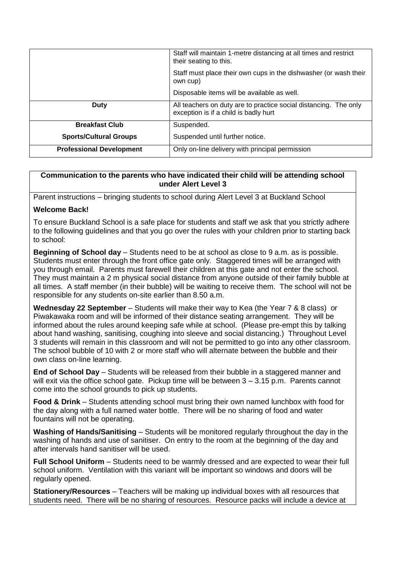|                                 | Staff will maintain 1-metre distancing at all times and restrict<br>their seating to this.                |
|---------------------------------|-----------------------------------------------------------------------------------------------------------|
|                                 | Staff must place their own cups in the dishwasher (or wash their<br>own cup)                              |
|                                 | Disposable items will be available as well.                                                               |
| <b>Duty</b>                     | All teachers on duty are to practice social distancing. The only<br>exception is if a child is badly hurt |
| <b>Breakfast Club</b>           | Suspended.                                                                                                |
| <b>Sports/Cultural Groups</b>   | Suspended until further notice.                                                                           |
| <b>Professional Development</b> | Only on-line delivery with principal permission                                                           |

## **Communication to the parents who have indicated their child will be attending school under Alert Level 3**

Parent instructions – bringing students to school during Alert Level 3 at Buckland School

## **Welcome Back!**

To ensure Buckland School is a safe place for students and staff we ask that you strictly adhere to the following guidelines and that you go over the rules with your children prior to starting back to school:

**Beginning of School day** – Students need to be at school as close to 9 a.m. as is possible. Students must enter through the front office gate only. Staggered times will be arranged with you through email. Parents must farewell their children at this gate and not enter the school. They must maintain a 2 m physical social distance from anyone outside of their family bubble at all times. A staff member (in their bubble) will be waiting to receive them. The school will not be responsible for any students on-site earlier than 8.50 a.m.

**Wednesday 22 September** – Students will make their way to Kea (the Year 7 & 8 class) or Piwakawaka room and will be informed of their distance seating arrangement. They will be informed about the rules around keeping safe while at school. (Please pre-empt this by talking about hand washing, sanitising, coughing into sleeve and social distancing.) Throughout Level 3 students will remain in this classroom and will not be permitted to go into any other classroom. The school bubble of 10 with 2 or more staff who will alternate between the bubble and their own class on-line learning.

**End of School Day** – Students will be released from their bubble in a staggered manner and will exit via the office school gate. Pickup time will be between 3 – 3.15 p.m. Parents cannot come into the school grounds to pick up students.

**Food & Drink** – Students attending school must bring their own named lunchbox with food for the day along with a full named water bottle. There will be no sharing of food and water fountains will not be operating.

**Washing of Hands/Sanitising** – Students will be monitored regularly throughout the day in the washing of hands and use of sanitiser. On entry to the room at the beginning of the day and after intervals hand sanitiser will be used.

**Full School Uniform** – Students need to be warmly dressed and are expected to wear their full school uniform. Ventilation with this variant will be important so windows and doors will be regularly opened.

**Stationery/Resources** – Teachers will be making up individual boxes with all resources that students need. There will be no sharing of resources. Resource packs will include a device at